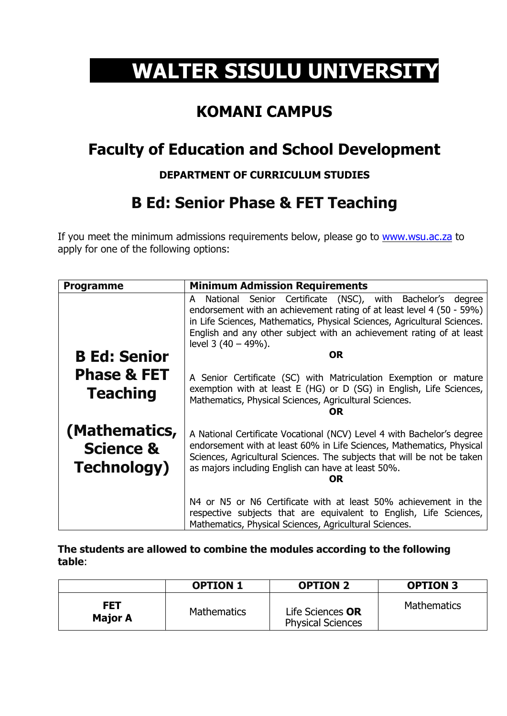# **WALTER SISULU UNIVERSITY**

### **KOMANI CAMPUS**

## **Faculty of Education and School Development**

#### **DEPARTMENT OF CURRICULUM STUDIES**

## **B Ed: Senior Phase & FET Teaching**

If you meet the minimum admissions requirements below, please go to [www.wsu.ac.za](http://www.wsu.ac.za/) to apply for one of the following options:

| <b>Programme</b>                                             | <b>Minimum Admission Requirements</b>                                                                                                                                                                                                                                                                                 |  |  |
|--------------------------------------------------------------|-----------------------------------------------------------------------------------------------------------------------------------------------------------------------------------------------------------------------------------------------------------------------------------------------------------------------|--|--|
|                                                              | National Senior Certificate (NSC), with Bachelor's degree<br>A<br>endorsement with an achievement rating of at least level 4 (50 - 59%)<br>in Life Sciences, Mathematics, Physical Sciences, Agricultural Sciences.<br>English and any other subject with an achievement rating of at least<br>level $3(40 - 49\%)$ . |  |  |
| <b>B Ed: Senior</b>                                          | <b>OR</b>                                                                                                                                                                                                                                                                                                             |  |  |
| <b>Phase &amp; FET</b><br><b>Teaching</b>                    | A Senior Certificate (SC) with Matriculation Exemption or mature<br>exemption with at least E (HG) or D (SG) in English, Life Sciences,<br>Mathematics, Physical Sciences, Agricultural Sciences.<br>OR                                                                                                               |  |  |
| (Mathematics,<br><b>Science &amp;</b><br><b>Technology</b> ) | A National Certificate Vocational (NCV) Level 4 with Bachelor's degree<br>endorsement with at least 60% in Life Sciences, Mathematics, Physical<br>Sciences, Agricultural Sciences. The subjects that will be not be taken<br>as majors including English can have at least 50%.<br>OR                                |  |  |
|                                                              | N4 or N5 or N6 Certificate with at least 50% achievement in the<br>respective subjects that are equivalent to English, Life Sciences,<br>Mathematics, Physical Sciences, Agricultural Sciences.                                                                                                                       |  |  |

**The students are allowed to combine the modules according to the following table**:

|                              | <b>OPTION 1</b>    | <b>OPTION 2</b>                              | <b>OPTION 3</b>    |
|------------------------------|--------------------|----------------------------------------------|--------------------|
| <b>FET</b><br><b>Major A</b> | <b>Mathematics</b> | Life Sciences OR<br><b>Physical Sciences</b> | <b>Mathematics</b> |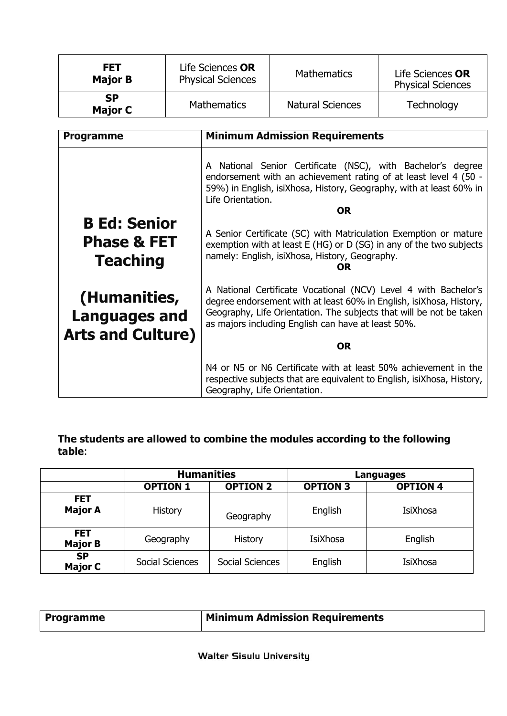| <b>FET</b><br>Life Sciences OR<br><b>Physical Sciences</b><br><b>Major B</b> |                    | <b>Mathematics</b>      | Life Sciences OR<br><b>Physical Sciences</b> |
|------------------------------------------------------------------------------|--------------------|-------------------------|----------------------------------------------|
| <b>SP</b><br><b>Major C</b>                                                  | <b>Mathematics</b> | <b>Natural Sciences</b> | Technology                                   |

| <b>Programme</b>                                                 | <b>Minimum Admission Requirements</b>                                                                                                                                                                                                                                                                        |  |  |
|------------------------------------------------------------------|--------------------------------------------------------------------------------------------------------------------------------------------------------------------------------------------------------------------------------------------------------------------------------------------------------------|--|--|
| <b>B Ed: Senior</b>                                              | A National Senior Certificate (NSC), with Bachelor's degree<br>endorsement with an achievement rating of at least level 4 (50 -<br>59%) in English, isiXhosa, History, Geography, with at least 60% in<br>Life Orientation.<br><b>OR</b><br>A Senior Certificate (SC) with Matriculation Exemption or mature |  |  |
| <b>Phase &amp; FET</b><br><b>Teaching</b>                        | exemption with at least E (HG) or D (SG) in any of the two subjects<br>namely: English, isiXhosa, History, Geography.<br>OR                                                                                                                                                                                  |  |  |
| (Humanities,<br><b>Languages and</b><br><b>Arts and Culture)</b> | A National Certificate Vocational (NCV) Level 4 with Bachelor's<br>degree endorsement with at least 60% in English, isiXhosa, History,<br>Geography, Life Orientation. The subjects that will be not be taken<br>as majors including English can have at least 50%.                                          |  |  |
|                                                                  | <b>OR</b>                                                                                                                                                                                                                                                                                                    |  |  |
|                                                                  | N4 or N5 or N6 Certificate with at least 50% achievement in the<br>respective subjects that are equivalent to English, is EXhosa, History,<br>Geography, Life Orientation.                                                                                                                                   |  |  |

**The students are allowed to combine the modules according to the following table**:

|                              | <b>Humanities</b> |                 | Languages       |                 |
|------------------------------|-------------------|-----------------|-----------------|-----------------|
|                              | <b>OPTION 1</b>   | <b>OPTION 2</b> | <b>OPTION 3</b> | <b>OPTION 4</b> |
| <b>FET</b><br><b>Major A</b> | History           | Geography       | English         | <b>IsiXhosa</b> |
| <b>FET</b><br><b>Major B</b> | Geography         | History         | <b>IsiXhosa</b> | English         |
| <b>SP</b><br><b>Major C</b>  | Social Sciences   | Social Sciences | English         | IsiXhosa        |

| <b>Programme</b> | <b>Minimum Admission Requirements</b> |
|------------------|---------------------------------------|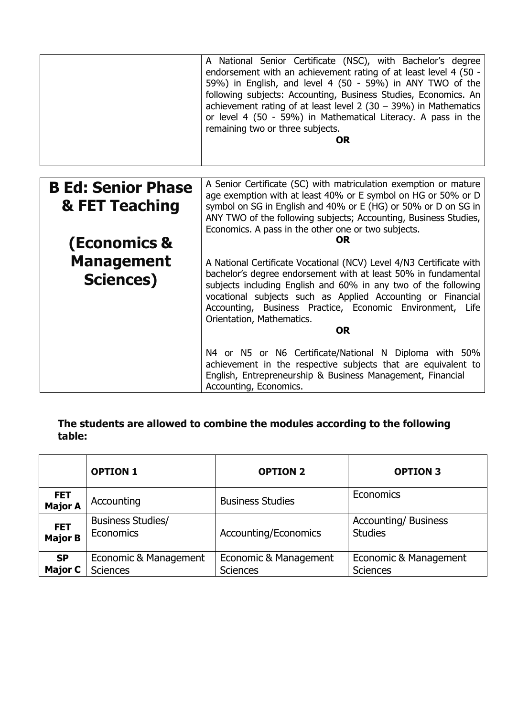|                           | A National Senior Certificate (NSC), with Bachelor's degree<br>endorsement with an achievement rating of at least level 4 (50 -<br>59%) in English, and level 4 (50 - 59%) in ANY TWO of the<br>following subjects: Accounting, Business Studies, Economics. An<br>achievement rating of at least level $2(30 - 39%)$ in Mathematics<br>or level 4 (50 - 59%) in Mathematical Literacy. A pass in the<br>remaining two or three subjects.<br><b>OR</b> |  |  |
|---------------------------|--------------------------------------------------------------------------------------------------------------------------------------------------------------------------------------------------------------------------------------------------------------------------------------------------------------------------------------------------------------------------------------------------------------------------------------------------------|--|--|
| <b>B Ed: Senior Phase</b> | A Senior Certificate (SC) with matriculation exemption or mature                                                                                                                                                                                                                                                                                                                                                                                       |  |  |
|                           | age exemption with at least 40% or E symbol on HG or 50% or D                                                                                                                                                                                                                                                                                                                                                                                          |  |  |
| & FET Teaching            | symbol on SG in English and 40% or E (HG) or 50% or D on SG in                                                                                                                                                                                                                                                                                                                                                                                         |  |  |
|                           | ANY TWO of the following subjects; Accounting, Business Studies,                                                                                                                                                                                                                                                                                                                                                                                       |  |  |
|                           | Economics. A pass in the other one or two subjects.<br><b>OR</b>                                                                                                                                                                                                                                                                                                                                                                                       |  |  |
| <b>(Economics &amp;</b>   |                                                                                                                                                                                                                                                                                                                                                                                                                                                        |  |  |
| <b>Management</b>         | A National Certificate Vocational (NCV) Level 4/N3 Certificate with                                                                                                                                                                                                                                                                                                                                                                                    |  |  |
| <b>Sciences)</b>          | bachelor's degree endorsement with at least 50% in fundamental                                                                                                                                                                                                                                                                                                                                                                                         |  |  |
|                           | subjects including English and 60% in any two of the following                                                                                                                                                                                                                                                                                                                                                                                         |  |  |
|                           | vocational subjects such as Applied Accounting or Financial<br>Accounting, Business Practice, Economic Environment, Life                                                                                                                                                                                                                                                                                                                               |  |  |
|                           | Orientation, Mathematics.                                                                                                                                                                                                                                                                                                                                                                                                                              |  |  |
|                           | <b>OR</b>                                                                                                                                                                                                                                                                                                                                                                                                                                              |  |  |
|                           |                                                                                                                                                                                                                                                                                                                                                                                                                                                        |  |  |
|                           | N4 or N5 or N6 Certificate/National N Diploma with 50%                                                                                                                                                                                                                                                                                                                                                                                                 |  |  |
|                           | achievement in the respective subjects that are equivalent to<br>English, Entrepreneurship & Business Management, Financial                                                                                                                                                                                                                                                                                                                            |  |  |
|                           | Accounting, Economics.                                                                                                                                                                                                                                                                                                                                                                                                                                 |  |  |

#### **The students are allowed to combine the modules according to the following table:**

|                              | <b>OPTION 1</b>          | <b>OPTION 2</b>             | <b>OPTION 3</b>             |
|------------------------------|--------------------------|-----------------------------|-----------------------------|
| <b>FET</b><br><b>Major A</b> | Accounting               | <b>Business Studies</b>     | <b>Economics</b>            |
| <b>FET</b>                   | <b>Business Studies/</b> | <b>Accounting/Economics</b> | <b>Accounting/ Business</b> |
| <b>Major B</b>               | Economics                |                             | <b>Studies</b>              |
| <b>SP</b>                    | Economic & Management    | Economic & Management       | Economic & Management       |
| <b>Major C</b>               | <b>Sciences</b>          | <b>Sciences</b>             | <b>Sciences</b>             |